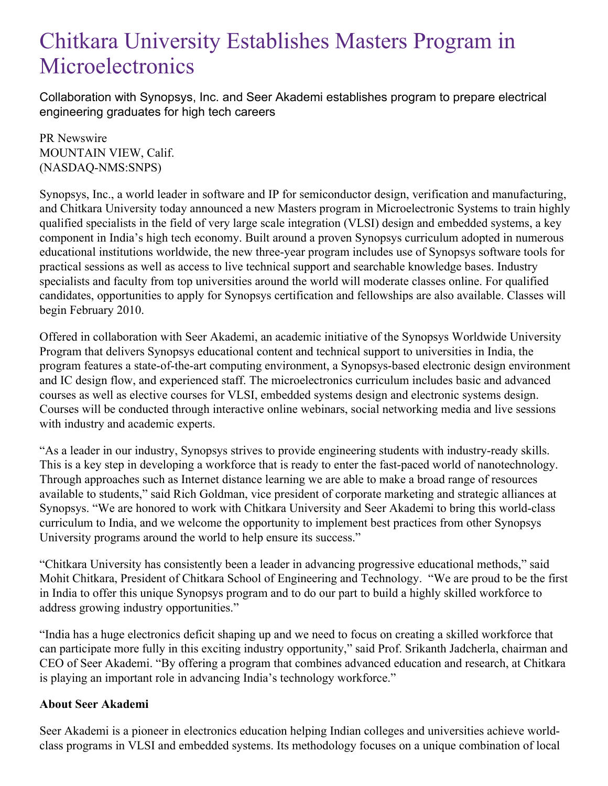## Chitkara University Establishes Masters Program in **Microelectronics**

Collaboration with Synopsys, Inc. and Seer Akademi establishes program to prepare electrical engineering graduates for high tech careers

PR Newswire MOUNTAIN VIEW, Calif. (NASDAQ-NMS:SNPS)

Synopsys, Inc., a world leader in software and IP for semiconductor design, verification and manufacturing, and Chitkara University today announced a new Masters program in Microelectronic Systems to train highly qualified specialists in the field of very large scale integration (VLSI) design and embedded systems, a key component in India's high tech economy. Built around a proven Synopsys curriculum adopted in numerous educational institutions worldwide, the new three-year program includes use of Synopsys software tools for practical sessions as well as access to live technical support and searchable knowledge bases. Industry specialists and faculty from top universities around the world will moderate classes online. For qualified candidates, opportunities to apply for Synopsys certification and fellowships are also available. Classes will begin February 2010.

Offered in collaboration with Seer Akademi, an academic initiative of the Synopsys Worldwide University Program that delivers Synopsys educational content and technical support to universities in India, the program features a state-of-the-art computing environment, a Synopsys-based electronic design environment and IC design flow, and experienced staff. The microelectronics curriculum includes basic and advanced courses as well as elective courses for VLSI, embedded systems design and electronic systems design. Courses will be conducted through interactive online webinars, social networking media and live sessions with industry and academic experts.

"As a leader in our industry, Synopsys strives to provide engineering students with industry-ready skills. This is a key step in developing a workforce that is ready to enter the fast-paced world of nanotechnology. Through approaches such as Internet distance learning we are able to make a broad range of resources available to students," said Rich Goldman, vice president of corporate marketing and strategic alliances at Synopsys. "We are honored to work with Chitkara University and Seer Akademi to bring this world-class curriculum to India, and we welcome the opportunity to implement best practices from other Synopsys University programs around the world to help ensure its success."

"Chitkara University has consistently been a leader in advancing progressive educational methods," said Mohit Chitkara, President of Chitkara School of Engineering and Technology. "We are proud to be the first in India to offer this unique Synopsys program and to do our part to build a highly skilled workforce to address growing industry opportunities."

"India has a huge electronics deficit shaping up and we need to focus on creating a skilled workforce that can participate more fully in this exciting industry opportunity," said Prof. Srikanth Jadcherla, chairman and CEO of Seer Akademi. "By offering a program that combines advanced education and research, at Chitkara is playing an important role in advancing India's technology workforce."

## **About Seer Akademi**

Seer Akademi is a pioneer in electronics education helping Indian colleges and universities achieve worldclass programs in VLSI and embedded systems. Its methodology focuses on a unique combination of local